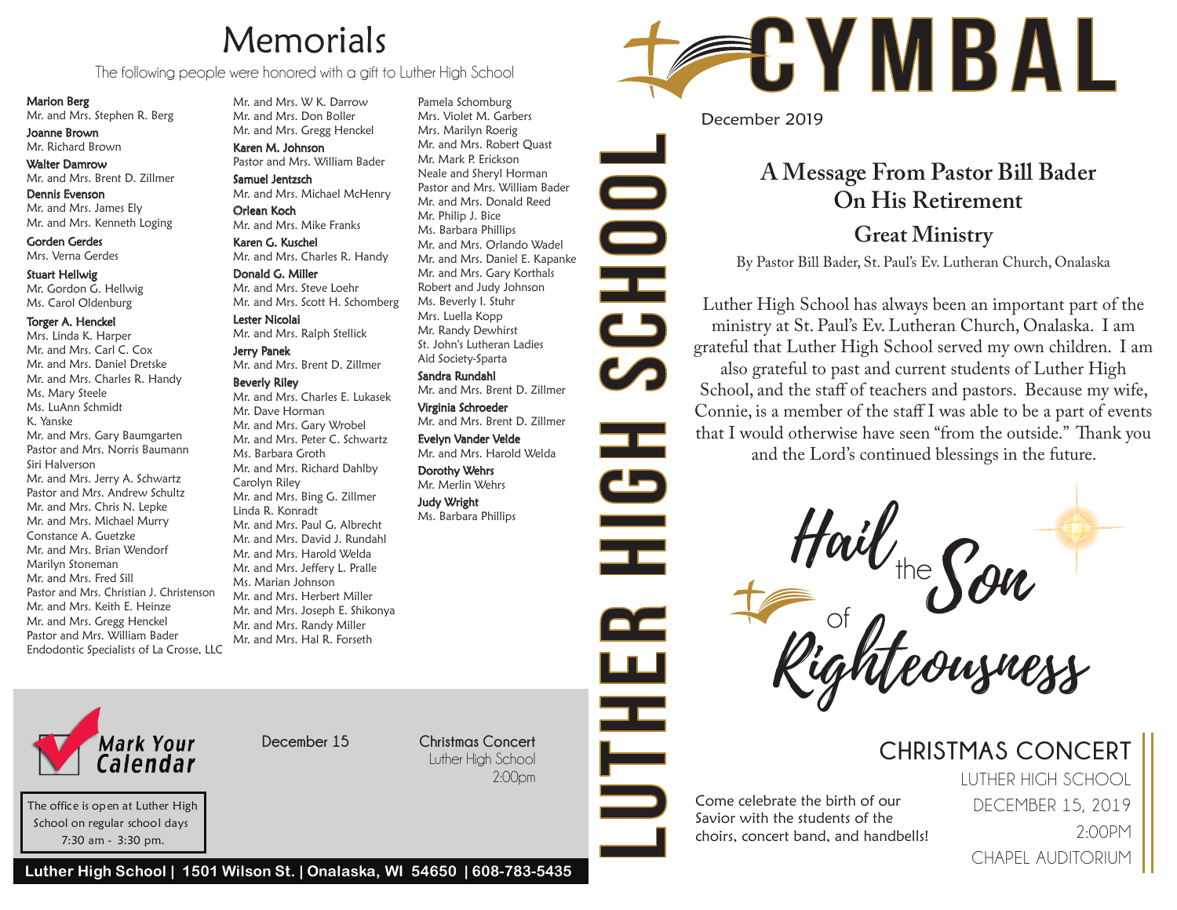# **Memorials**

The following people were honored with a gift to Luther High School

Marion Berg

Mr. and Mrs. Stephen R. Berg

Joanne Brown Mr. Richard Brown

Walter Damrow Mr. and Mrs. Brent D. Zillmer

Dennis Evenson Mr. and Mrs. James Ely Mr. and Mrs. Kenneth Loging

Gorden Gerdes Mrs. Verna Gerdes

Stuart Hellwig Mr. Gordon G. Hellwig Ms. Carol Oldenburg

#### Torger A. Henckel

Mrs. Linda K. Harper Mr. and Mrs. Carl C. Cox Mr. and Mrs. Daniel Dretske Mr. and Mrs. Charles R. Handy Ms. Mary Steele Ms. LuAnn Schmidt K. Yanske Mr. and Mrs. Gary Baumgarten Pastor and Mrs. Norris Baumann Siri Halverson Mr. and Mrs. Jerry A. Schwartz Pastor and Mrs. Andrew Schultz Mr. and Mrs. Chris N. Lepke Mr. and Mrs. Michael Murry Constance A. Guetzke Mr. and Mrs. Brian Wendorf Marilyn Stoneman Mr. and Mrs. Fred Sill Pastor and Mrs. Christian J. Christenson Mr. and Mrs. Keith E. Heinze Mr. and Mrs. Gregg Henckel Pastor and Mrs. William Bader Endodontic Specialists of La Crosse, LLC Mr. and Mrs. W K. Darrow Mr. and Mrs. Don Boller Mr. and Mrs. Gregg Henckel

Karen M. Johnson Pastor and Mrs. William Bader

Samuel Jentzsch Mr. and Mrs. Michael McHenry

Orlean Koch Mr. and Mrs. Mike Franks Karen G. Kuschel

Mr. and Mrs. Charles R. Handy Donald G. Miller Mr. and Mrs. Steve Loehr Mr. and Mrs. Scott H. Schomberg

Lester Nicolai Mr. and Mrs. Ralph Stellick

Jerry Panek Mr. and Mrs. Brent D. Zillmer

#### Beverly Riley

Mr. and Mrs. Charles E. Lukasek Mr. Dave Horman Mr. and Mrs. Gary Wrobel Mr. and Mrs. Peter C. Schwartz Ms. Barbara Groth Mr. and Mrs. Richard Dahlby Carolyn Riley Mr. and Mrs. Bing G. Zillmer Linda R. Konradt Mr. and Mrs. Paul G. Albrecht Mr. and Mrs. David J. Rundahl Mr. and Mrs. Harold Welda Mr. and Mrs. Jeffery L. Pralle Ms. Marian Johnson Mr. and Mrs. Herbert Miller Mr. and Mrs. Joseph E. Shikonya Mr. and Mrs. Randy Miller Mr. and Mrs. Hal R. Forseth

Pamela Schomburg Mrs. Violet M. Garbers Mrs. Marilyn Roerig Mr. and Mrs. Robert Quast Mr. Mark P. Erickson Neale and Sheryl Horman Pastor and Mrs. William Bader Mr. and Mrs. Donald Reed Mr. Philip J. Bice Ms. Barbara Phillips Mr. and Mrs. Orlando Wadel Mr. and Mrs. Daniel E. Kapanke Mr. and Mrs. Gary Korthals Robert and Judy Johnson Ms. Beverly I. Stuhr Mrs. Luella Kopp Mr. Randy Dewhirst St. John's Lutheran Ladies Aid Society-Sparta Sandra Rundahl Mr. and Mrs. Brent D. Zillmer

Virginia Schroeder Mr. and Mrs. Brent D. Zillmer

Evelyn Vander Velde Mr. and Mrs. Harold Welda Dorothy Wehrs

Mr. Merlin Wehrs Judy Wright



December 2019

 $\Box$ 

**OHO** 

Ŧ

w

ᆍ

 $\equiv$ 

### **Great Ministry A Message From Pastor Bill Bader On His Retirement**

By Pastor Bill Bader, St. Paul's Ev. Lutheran Church, Onalaska

Luther High School has always been an important part of the ministry at St. Paul's Ev. Lutheran Church, Onalaska. I am grateful that Luther High School served my own children. I am

also grateful to past and current students of Luther High School, and the staff of teachers and pastors. Because my wife, Connie, is a member of the staff I was able to be a part of events that I would otherwise have seen "from the outside." Thank you and the Lord's continued blessings in the future.

Ms. Barbara Phillips  $\overline{\mathcal{H}}$  ail  $\overline{\mathcal{H}}$  $\mathcal{S}_{\text{obs}}$ Righteousness

## **CHRISTMAS CONCERT**

LUTHER HIGH SCHOOL DECEMBER 15, 2019 2:00PM CHAPEL AUDITORIUM Come celebrate the birth of our Savior with the students of the choirs, concert band, and handbells!



The office is open at Luther High School on regular school days 7:30 am - 3:30 pm.

**Luther High School | 1501 Wilson St. | Onalaska, WI 54650 | 608-783-5435**

**December 15 Christmas Concert** Luther High School 2:00pm